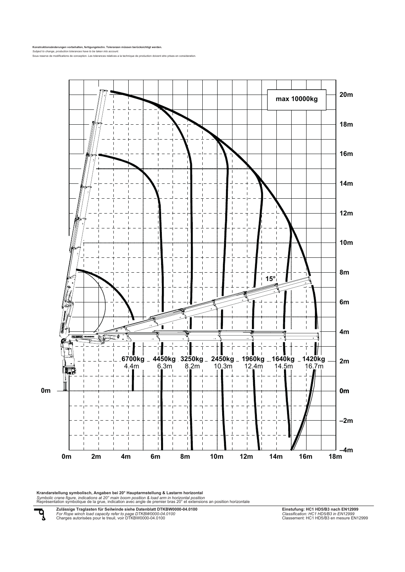**Konstruktionsänderungen vorbehalten, fertigungstechn. Toleranzen müssen berücksichtigt werden.** *Subject to change, production tolerances have to be taken into account.*

Sous reserve de modifications de conception. Les tolerances relatives a la technique de production doivent etre prises en consideration.



**Krandarstellung symbolisch, Angaben bei 20° Hauptarmstellung & Lastarm horizontal**<br>Symbolic crane figure, indications at 20° main boom position & load arm in horizontal position<br>Représentation symbolique de la grue, indic

पृ

**Zulässige Traglasten für Seilwinde siehe Datenblatt DTKBW0000-04.0100** *For Rope winch load capacity refer to page DTKBW0000-04.0100* Charges autorisées pour le treuil, voir DTKBW0000-04.0100

**Einstufung: HC1 HD5/B3 nach EN12999** *Classification: HC1 HD5/B3 in EN12999* Classement: HC1 HD5/B3 en mesure EN12999